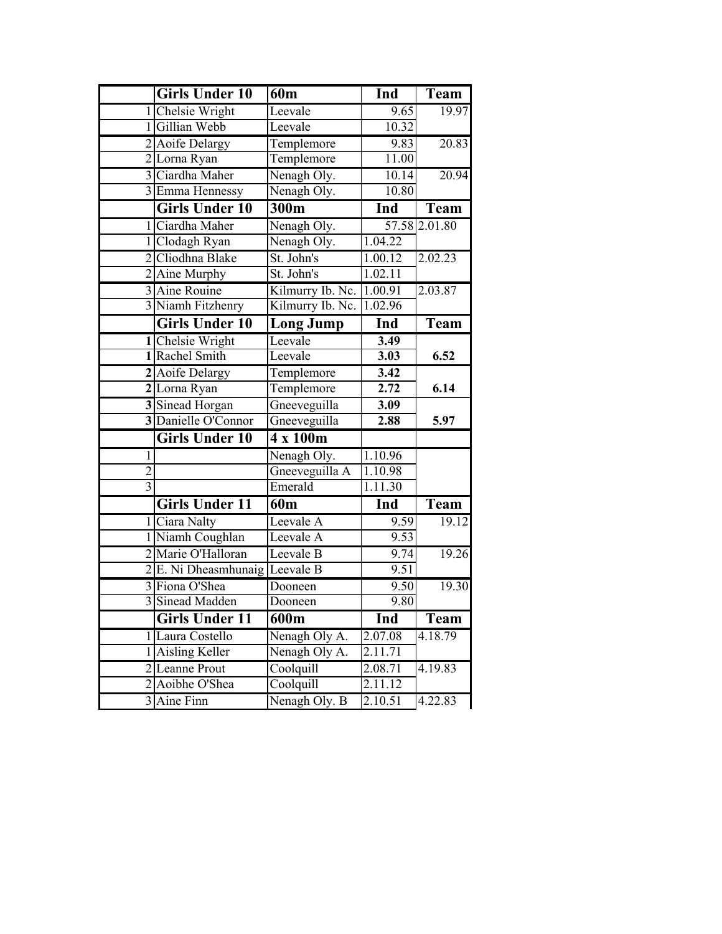|                | <b>Girls Under 10</b> | 60 <sub>m</sub>  | Ind               | <b>Team</b>   |
|----------------|-----------------------|------------------|-------------------|---------------|
|                | 1 Chelsie Wright      | Leevale          | 9.65              | 19.97         |
|                | 1 Gillian Webb        | Leevale          | 10.32             |               |
|                | 2 Aoife Delargy       | Templemore       | 9.83              | 20.83         |
|                | 2 Lorna Ryan          | Templemore       | 11.00             |               |
|                | 3 Ciardha Maher       | Nenagh Oly.      | 10.14             | 20.94         |
|                | 3 Emma Hennessy       | Nenagh Oly.      | 10.80             |               |
|                | <b>Girls Under 10</b> | 300m             | Ind               | Team          |
|                | 1 Ciardha Maher       | Nenagh Oly.      |                   | 57.58 2.01.80 |
|                | 1 Clodagh Ryan        | Nenagh Oly.      | 1.04.22           |               |
|                | 2 Cliodhna Blake      | St. John's       | 1.00.12           | 2.02.23       |
|                | 2 Aine Murphy         | St. John's       | 1.02.11           |               |
|                | 3 Aine Rouine         | Kilmurry Ib. Nc. | 1.00.91           | 2.03.87       |
|                | 3 Niamh Fitzhenry     | Kilmurry Ib. Nc. | 1.02.96           |               |
|                | <b>Girls Under 10</b> | <b>Long Jump</b> | Ind               | <b>Team</b>   |
|                | 1 Chelsie Wright      | Leevale          | 3.49              |               |
|                | 1 Rachel Smith        | Leevale          | 3.03              | 6.52          |
|                | 2 Aoife Delargy       | Templemore       | $\overline{3.42}$ |               |
|                | 2 Lorna Ryan          | Templemore       | 2.72              | 6.14          |
|                | 3 Sinead Horgan       | Gneeveguilla     | 3.09              |               |
|                | 3 Danielle O'Connor   | Gneeveguilla     | 2.88              | 5.97          |
|                | <b>Girls Under 10</b> | 4 x 100m         |                   |               |
| $\mathbf{1}$   |                       | Nenagh Oly.      | 1.10.96           |               |
| $\overline{2}$ |                       | Gneeveguilla A   | 1.10.98           |               |
| $\overline{3}$ |                       | Emerald          | 1.11.30           |               |
|                | <b>Girls Under 11</b> | 60m              | Ind               | Team          |
|                | 1 Ciara Nalty         | Leevale A        | 9.59              | 19.12         |
|                | 1 Niamh Coughlan      | Leevale A        | 9.53              |               |
|                | 2 Marie O'Halloran    | Leevale B        | 9.74              | 19.26         |
|                | 2 E. Ni Dheasmhunaig  | Leevale B        | 9.51              |               |
|                | 3 Fiona O'Shea        | Dooneen          | 9.50              | 19.30         |
|                | 3 Sinead Madden       | Dooneen          | 9.80              |               |
|                | <b>Girls Under 11</b> | 600m             | Ind               | <b>Team</b>   |
|                | 1 Laura Costello      | Nenagh Oly A.    | 2.07.08           | 4.18.79       |
| 1              | Aisling Keller        | Nenagh Oly A.    | 2.11.71           |               |
| $\overline{2}$ | Leanne Prout          | Coolquill        | 2.08.71           | 4.19.83       |
| $\overline{2}$ | Aoibhe O'Shea         | Coolquill        | 2.11.12           |               |
|                | 3 Aine Finn           | Nenagh Oly. B    | 2.10.51           | 4.22.83       |